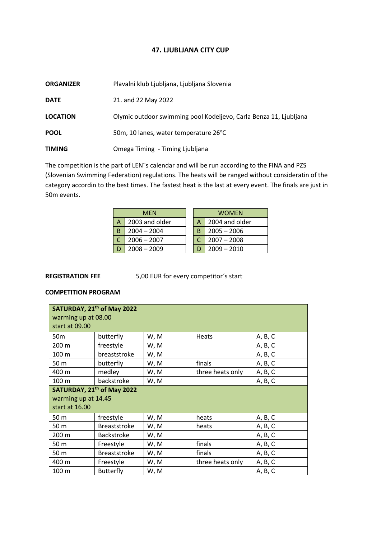## **47. LJUBLJANA CITY CUP**

| <b>ORGANIZER</b> | Plavalni klub Ljubljana, Ljubljana Slovenia                       |
|------------------|-------------------------------------------------------------------|
| <b>DATE</b>      | 21. and 22 May 2022                                               |
| <b>LOCATION</b>  | Olymic outdoor swimming pool Kodeljevo, Carla Benza 11, Ljubljana |
| <b>POOL</b>      | 50m, 10 lanes, water temperature 26 <sup>o</sup> C                |
| <b>TIMING</b>    | Omega Timing - Timing Ljubljana                                   |

The competition is the part of LEN¨s calendar and will be run according to the FINA and PZS (Slovenian Swimming Federation) regulations. The heats will be ranged without consideratin of the category accordin to the best times. The fastest heat is the last at every event. The finals are just in 50m events.

|   | <b>MEN</b>     |  | WOMEN |                |
|---|----------------|--|-------|----------------|
| Α | 2003 and older |  |       | 2004 and older |
| B | $2004 - 2004$  |  | B     | $2005 - 2006$  |
|   | $2006 - 2007$  |  |       | $2007 - 2008$  |
|   | $2008 - 2009$  |  |       | $2009 - 2010$  |

**REGISTRATION FEE** 5,00 EUR for every competitor´s start

## **COMPETITION PROGRAM**

| warming up at 08.00<br>start at 09.00                                           | SATURDAY, 21 <sup>th</sup> of May 2022 |      |                  |         |
|---------------------------------------------------------------------------------|----------------------------------------|------|------------------|---------|
| 50 <sub>m</sub>                                                                 | butterfly                              | W, M | <b>Heats</b>     | A, B, C |
| 200 m                                                                           | freestyle                              | W, M |                  | A, B, C |
| 100 m                                                                           | breaststroke                           | W, M |                  | A, B, C |
| 50 m                                                                            | butterfly                              | W, M | finals           | A, B, C |
| 400 m                                                                           | medley                                 | W, M | three heats only | A, B, C |
| 100 <sub>m</sub>                                                                | backstroke                             | W, M |                  | A, B, C |
| SATURDAY, 21 <sup>th</sup> of May 2022<br>warming up at 14.45<br>start at 16.00 |                                        |      |                  |         |
| 50 m                                                                            | freestyle                              | W, M | heats            | A, B, C |
| 50 m                                                                            | <b>Breaststroke</b>                    | W, M | heats            | A, B, C |
| 200 m                                                                           | <b>Backstroke</b>                      | W, M |                  | A, B, C |
| 50 m                                                                            | Freestyle                              | W, M | finals           | A, B, C |
| 50 m                                                                            | <b>Breaststroke</b>                    | W, M | finals           | A, B, C |
| 400 m                                                                           | Freestyle                              | W, M | three heats only | A, B, C |
| 100 m                                                                           | Butterfly                              | W, M |                  | A, B, C |